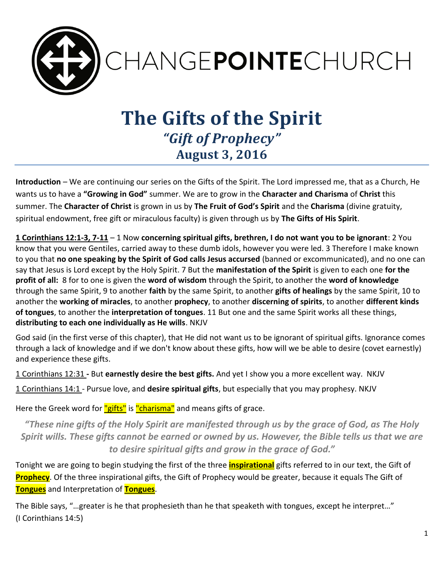

# **The Gifts of the Spirit** *"Gift of Prophecy"* **August 3, 2016**

**Introduction** – We are continuing our series on the Gifts of the Spirit. The Lord impressed me, that as a Church, He wants us to have a **"Growing in God"** summer. We are to grow in the **Character and Charisma** of **Christ** this summer. The **Character of Christ** is grown in us by **The Fruit of God's Spirit** and the **Charisma** (divine gratuity, spiritual endowment, free gift or miraculous faculty) is given through us by **The Gifts of His Spirit**.

**1 Corinthians 12:1-3, 7-11** – 1 Now **concerning spiritual gifts, brethren, I do not want you to be ignorant**: 2 You know that you were Gentiles, carried away to these dumb idols, however you were led. 3 Therefore I make known to you that **no one speaking by the Spirit of God calls Jesus accursed** (banned or excommunicated), and no one can say that Jesus is Lord except by the Holy Spirit. 7 But the **manifestation of the Spirit** is given to each one **for the profit of all:** 8 for to one is given the **word of wisdom** through the Spirit, to another the **word of knowledge** through the same Spirit, 9 to another **faith** by the same Spirit, to another **gifts of healings** by the same Spirit, 10 to another the **working of miracles**, to another **prophecy**, to another **discerning of spirits**, to another **different kinds of tongues**, to another the **interpretation of tongues**. 11 But one and the same Spirit works all these things, **distributing to each one individually as He wills**. NKJV

God said (in the first verse of this chapter), that He did not want us to be ignorant of spiritual gifts. Ignorance comes through a lack of knowledge and if we don't know about these gifts, how will we be able to desire (covet earnestly) and experience these gifts.

1 Corinthians 12:31 **-** But **earnestly desire the best gifts.** And yet I show you a more excellent way. NKJV

1 Corinthians 14:1 - Pursue love, and **desire spiritual gifts**, but especially that you may prophesy. NKJV

Here the Greek word for "gifts" is "charisma" and means gifts of grace.

*"These nine gifts of the Holy Spirit are manifested through us by the grace of God, as The Holy Spirit wills. These gifts cannot be earned or owned by us. However, the Bible tells us that we are to desire spiritual gifts and grow in the grace of God."*

Tonight we are going to begin studying the first of the three **inspirational** gifts referred to in our text, the Gift of **Prophecy**. Of the three inspirational gifts, the Gift of Prophecy would be greater, because it equals The Gift of **Tongues** and Interpretation of **Tongues**.

The Bible says, "…greater is he that prophesieth than he that speaketh with tongues, except he interpret…" (I Corinthians 14:5)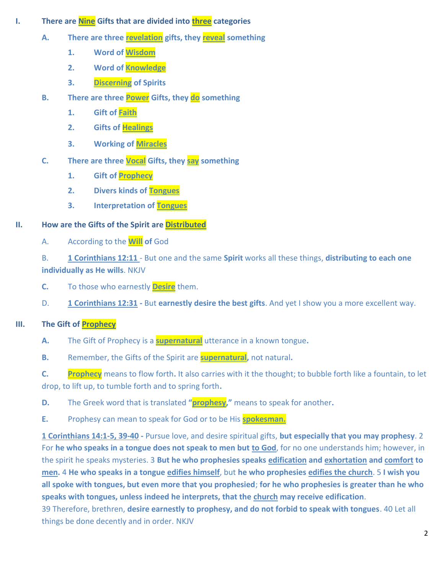- **I.** There are **Nine** Gifts that are divided into **three** categories
	- **A. There are three revelation gifts, they reveal something**
		- **1. Word of Wisdom**
		- **2. Word of Knowledge**
		- **3. Discerning of Spirits**
	- **B. There are three Power Gifts, they do something** 
		- **1. Gift of Faith**
		- **2. Gifts of Healings**
		- **3. Working of Miracles**
	- **C. There are three Vocal Gifts, they say something**
		- **1. Gift of Prophecy**
		- **2. Divers kinds of Tongues**
		- **3. Interpretation of Tongues**

## **II. How are the Gifts of the Spirit are Distributed**

A. According to the **Will of** God

B. **1 Corinthians 12:11** - But one and the same **Spirit** works all these things, **distributing to each one individually as He wills**. NKJV

- **C.** To those who earnestly **Desire** them.
- D. **1 Corinthians 12:31 -** But **earnestly desire the best gifts**. And yet I show you a more excellent way.

# **III. The Gift of Prophecy**

- **A.** The Gift of Prophecy is a **supernatural** utterance in a known tongue**.**
- **B.** Remember, the Gifts of the Spirit are **supernatural,** not natural**.**

**C. Prophecy** means to flow forth**.** It also carries with it the thought; to bubble forth like a fountain, to let drop, to lift up, to tumble forth and to spring forth**.**

- **D.** The Greek word that is translated **"prophesy,"** means to speak for another**.**
- **E.** Prophesy can mean to speak for God or to be His **spokesman.**

**1 Corinthians 14:1-5, 39-40 -** Pursue love, and desire spiritual gifts, **but especially that you may prophesy**. 2 For **he who speaks in a tongue does not speak to men but to God**, for no one understands him; however, in the spirit he speaks mysteries. 3 **But he who prophesies speaks edification and exhortation and comfort to men.** 4 **He who speaks in a tongue edifies himself**, but **he who prophesies edifies the church**. 5 **I wish you all spoke with tongues, but even more that you prophesied**; **for he who prophesies is greater than he who speaks with tongues, unless indeed he interprets, that the church may receive edification**.

39 Therefore, brethren, **desire earnestly to prophesy, and do not forbid to speak with tongues**. 40 Let all things be done decently and in order. NKJV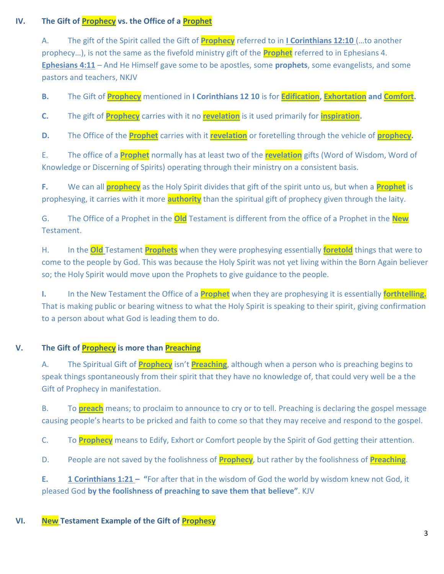## **IV. The Gift of Prophecy vs. the Office of a Prophet**

A. The gift of the Spirit called the Gift of **Prophecy** referred to in **I Corinthians 12:10** (…to another prophecy…), is not the same as the fivefold ministry gift of the **Prophet** referred to in Ephesians 4. **Ephesians 4:11** – And He Himself gave some to be apostles, some **prophets**, some evangelists, and some pastors and teachers, NKJV

**B.** The Gift of **Prophecy** mentioned in **I Corinthians 12 10** is for **Edification, Exhortation and Comfort.** 

**C.** The gift of **Prophecy** carries with it no **revelation** is it used primarily for **inspiration.** 

**D.** The Office of the **Prophet** carries with it **revelation** or foretelling through the vehicle of **prophecy.** 

E. The office of a **Prophet** normally has at least two of the **revelation** gifts (Word of Wisdom, Word of Knowledge or Discerning of Spirits) operating through their ministry on a consistent basis.

**F.** We can all **prophecy** as the Holy Spirit divides that gift of the spirit unto us, but when a **Prophet** is prophesying, it carries with it more **authority** than the spiritual gift of prophecy given through the laity.

G. The Office of a Prophet in the **Old** Testament is different from the office of a Prophet in the **New** Testament.

H. In the **Old** Testament **Prophets** when they were prophesying essentially **foretold** things that were to come to the people by God. This was because the Holy Spirit was not yet living within the Born Again believer so; the Holy Spirit would move upon the Prophets to give guidance to the people.

**I.** In the New Testament the Office of a **Prophet** when they are prophesying it is essentially **forthtelling.** That is making public or bearing witness to what the Holy Spirit is speaking to their spirit, giving confirmation to a person about what God is leading them to do.

## **V. The Gift of Prophecy is more than Preaching**

A. The Spiritual Gift of **Prophecy** isn't **Preaching**, although when a person who is preaching begins to speak things spontaneously from their spirit that they have no knowledge of, that could very well be a the Gift of Prophecy in manifestation.

B. To **preach** means; to proclaim to announce to cry or to tell. Preaching is declaring the gospel message causing people's hearts to be pricked and faith to come so that they may receive and respond to the gospel.

C. To **Prophecy** means to Edify, Exhort or Comfort people by the Spirit of God getting their attention.

D. People are not saved by the foolishness of **Prophecy**, but rather by the foolishness of **Preaching**.

**E. 1 Corinthians 1:21 – "**For after that in the wisdom of God the world by wisdom knew not God, it pleased God **by the foolishness of preaching to save them that believe"**. KJV

## **VI. New Testament Example of the Gift of Prophesy**